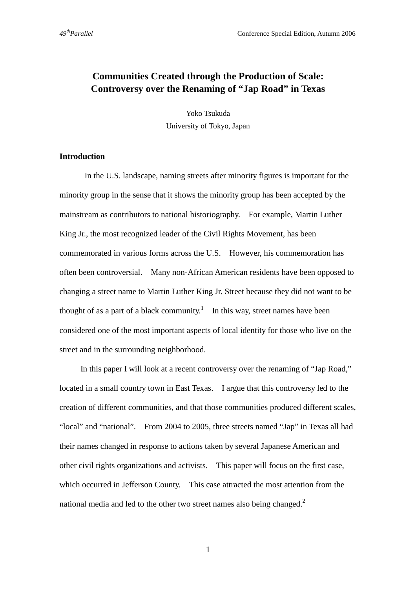# **Communities Created through the Production of Scale: Controversy over the Renaming of "Jap Road" in Texas**

Yoko Tsukuda University of Tokyo, Japan

# **Introduction**

 In the U.S. landscape, naming streets after minority figures is important for the minority group in the sense that it shows the minority group has been accepted by the mainstream as contributors to national historiography. For example, Martin Luther King Jr., the most recognized leader of the Civil Rights Movement, has been commemorated in various forms across the U.S. However, his commemoration has often been controversial. Many non-African American residents have been opposed to changing a street name to Martin Luther King Jr. Street because they did not want to be thought of as a part of a black community.<sup>1</sup> In this way, street names have been considered one of the most important aspects of local identity for those who live on the street and in the surrounding neighborhood.

In this paper I will look at a recent controversy over the renaming of "Jap Road," located in a small country town in East Texas. I argue that this controversy led to the creation of different communities, and that those communities produced different scales, "local" and "national".From 2004 to 2005, three streets named "Jap" in Texas all had their names changed in response to actions taken by several Japanese American and other civil rights organizations and activists. This paper will focus on the first case, which occurred in Jefferson County. This case attracted the most attention from the national media and led to the other two street names also being changed.<sup>2</sup>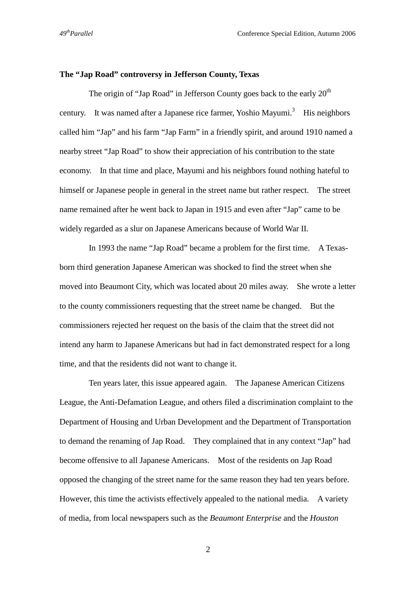### **The "Jap Road" controversy in Jefferson County, Texas**

The origin of "Jap Road" in Jefferson County goes back to the early  $20<sup>th</sup>$ century. It was named after a Japanese rice farmer, Yoshio Mayumi.<sup>3</sup> His neighbors called him "Jap" and his farm "Jap Farm" in a friendly spirit, and around 1910 named a nearby street "Jap Road" to show their appreciation of his contribution to the state economy. In that time and place, Mayumi and his neighbors found nothing hateful to himself or Japanese people in general in the street name but rather respect. The street name remained after he went back to Japan in 1915 and even after "Jap" came to be widely regarded as a slur on Japanese Americans because of World War II.

In 1993 the name "Jap Road" became a problem for the first time. A Texasborn third generation Japanese American was shocked to find the street when she moved into Beaumont City, which was located about 20 miles away. She wrote a letter to the county commissioners requesting that the street name be changed. But the commissioners rejected her request on the basis of the claim that the street did not intend any harm to Japanese Americans but had in fact demonstrated respect for a long time, and that the residents did not want to change it.

Ten years later, this issue appeared again. The Japanese American Citizens League, the Anti-Defamation League, and others filed a discrimination complaint to the Department of Housing and Urban Development and the Department of Transportation to demand the renaming of Jap Road. They complained that in any context "Jap" had become offensive to all Japanese Americans. Most of the residents on Jap Road opposed the changing of the street name for the same reason they had ten years before. However, this time the activists effectively appealed to the national media. A variety of media, from local newspapers such as the *Beaumont Enterprise* and the *Houston*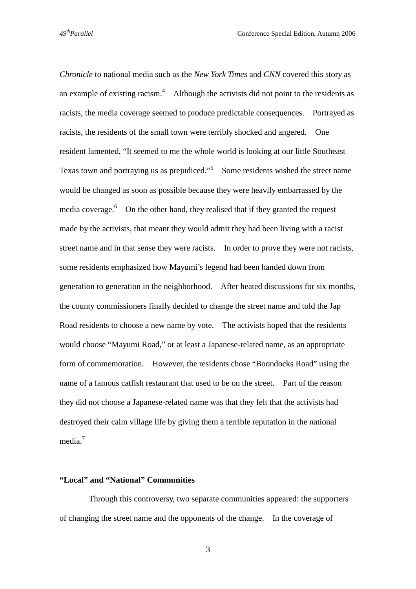*Chronicle* to national media such as the *New York Times* and *CNN* covered this story as an example of existing racism.<sup>4</sup> Although the activists did not point to the residents as racists, the media coverage seemed to produce predictable consequences. Portrayed as racists, the residents of the small town were terribly shocked and angered. One resident lamented, "It seemed to me the whole world is looking at our little Southeast Texas town and portraying us as prejudiced."<sup>5</sup> Some residents wished the street name would be changed as soon as possible because they were heavily embarrassed by the media coverage.<sup>6</sup> On the other hand, they realised that if they granted the request made by the activists, that meant they would admit they had been living with a racist street name and in that sense they were racists. In order to prove they were not racists, some residents emphasized how Mayumi's legend had been handed down from generation to generation in the neighborhood. After heated discussions for six months, the county commissioners finally decided to change the street name and told the Jap Road residents to choose a new name by vote. The activists hoped that the residents would choose "Mayumi Road," or at least a Japanese-related name, as an appropriate form of commemoration. However, the residents chose "Boondocks Road" using the name of a famous catfish restaurant that used to be on the street. Part of the reason they did not choose a Japanese-related name was that they felt that the activists had destroyed their calm village life by giving them a terrible reputation in the national media.<sup>7</sup>

### **"Local" and "National" Communities**

Through this controversy, two separate communities appeared: the supporters of changing the street name and the opponents of the change. In the coverage of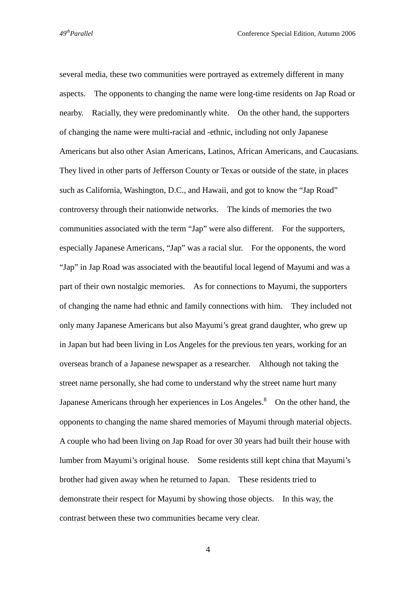several media, these two communities were portrayed as extremely different in many aspects. The opponents to changing the name were long-time residents on Jap Road or nearby. Racially, they were predominantly white. On the other hand, the supporters of changing the name were multi-racial and -ethnic, including not only Japanese Americans but also other Asian Americans, Latinos, African Americans, and Caucasians. They lived in other parts of Jefferson County or Texas or outside of the state, in places such as California, Washington, D.C., and Hawaii, and got to know the "Jap Road" controversy through their nationwide networks. The kinds of memories the two communities associated with the term "Jap" were also different. For the supporters, especially Japanese Americans, "Jap" was a racial slur. For the opponents, the word "Jap" in Jap Road was associated with the beautiful local legend of Mayumi and was a part of their own nostalgic memories. As for connections to Mayumi, the supporters of changing the name had ethnic and family connections with him. They included not only many Japanese Americans but also Mayumi's great grand daughter, who grew up in Japan but had been living in Los Angeles for the previous ten years, working for an overseas branch of a Japanese newspaper as a researcher. Although not taking the street name personally, she had come to understand why the street name hurt many Japanese Americans through her experiences in Los Angeles. $\delta$  On the other hand, the opponents to changing the name shared memories of Mayumi through material objects. A couple who had been living on Jap Road for over 30 years had built their house with lumber from Mayumi's original house. Some residents still kept china that Mayumi's brother had given away when he returned to Japan. These residents tried to demonstrate their respect for Mayumi by showing those objects. In this way, the contrast between these two communities became very clear.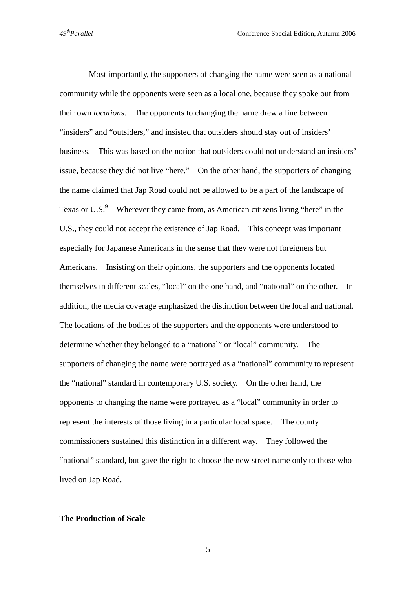Most importantly, the supporters of changing the name were seen as a national community while the opponents were seen as a local one, because they spoke out from their own *locations*. The opponents to changing the name drew a line between "insiders" and "outsiders," and insisted that outsiders should stay out of insiders' business. This was based on the notion that outsiders could not understand an insiders' issue, because they did not live "here." On the other hand, the supporters of changing the name claimed that Jap Road could not be allowed to be a part of the landscape of Texas or U.S. $\degree$  Wherever they came from, as American citizens living "here" in the U.S., they could not accept the existence of Jap Road. This concept was important especially for Japanese Americans in the sense that they were not foreigners but Americans. Insisting on their opinions, the supporters and the opponents located themselves in different scales, "local" on the one hand, and "national" on the other. In addition, the media coverage emphasized the distinction between the local and national. The locations of the bodies of the supporters and the opponents were understood to determine whether they belonged to a "national" or "local" community. The supporters of changing the name were portrayed as a "national" community to represent the "national" standard in contemporary U.S. society. On the other hand, the opponents to changing the name were portrayed as a "local" community in order to represent the interests of those living in a particular local space. The county commissioners sustained this distinction in a different way. They followed the "national" standard, but gave the right to choose the new street name only to those who lived on Jap Road.

#### **The Production of Scale**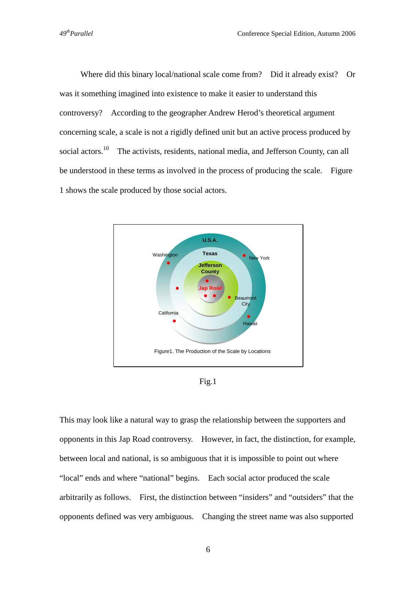Where did this binary local/national scale come from? Did it already exist? Or was it something imagined into existence to make it easier to understand this controversy? According to the geographer Andrew Herod's theoretical argument concerning scale, a scale is not a rigidly defined unit but an active process produced by social actors.<sup>10</sup> The activists, residents, national media, and Jefferson County, can all be understood in these terms as involved in the process of producing the scale. Figure 1 shows the scale produced by those social actors.



Fig.1

This may look like a natural way to grasp the relationship between the supporters and opponents in this Jap Road controversy. However, in fact, the distinction, for example, between local and national, is so ambiguous that it is impossible to point out where "local" ends and where "national" begins. Each social actor produced the scale arbitrarily as follows. First, the distinction between "insiders" and "outsiders" that the opponents defined was very ambiguous. Changing the street name was also supported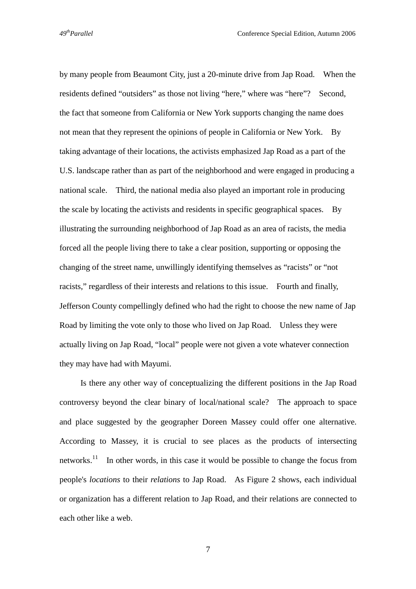by many people from Beaumont City, just a 20-minute drive from Jap Road. When the residents defined "outsiders" as those not living "here," where was "here"? Second, the fact that someone from California or New York supports changing the name does not mean that they represent the opinions of people in California or New York. By taking advantage of their locations, the activists emphasized Jap Road as a part of the U.S. landscape rather than as part of the neighborhood and were engaged in producing a national scale. Third, the national media also played an important role in producing the scale by locating the activists and residents in specific geographical spaces. By illustrating the surrounding neighborhood of Jap Road as an area of racists, the media forced all the people living there to take a clear position, supporting or opposing the changing of the street name, unwillingly identifying themselves as "racists" or "not racists," regardless of their interests and relations to this issue. Fourth and finally, Jefferson County compellingly defined who had the right to choose the new name of Jap Road by limiting the vote only to those who lived on Jap Road. Unless they were actually living on Jap Road, "local" people were not given a vote whatever connection they may have had with Mayumi.

 Is there any other way of conceptualizing the different positions in the Jap Road controversy beyond the clear binary of local/national scale? The approach to space and place suggested by the geographer Doreen Massey could offer one alternative. According to Massey, it is crucial to see places as the products of intersecting networks.<sup>11</sup> In other words, in this case it would be possible to change the focus from people's *locations* to their *relations* to Jap Road. As Figure 2 shows, each individual or organization has a different relation to Jap Road, and their relations are connected to each other like a web.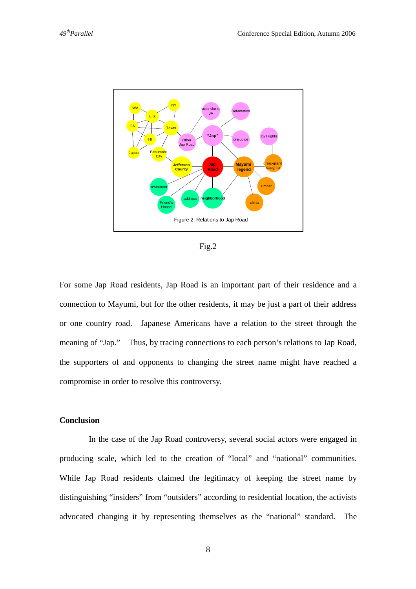

Fig.2

For some Jap Road residents, Jap Road is an important part of their residence and a connection to Mayumi, but for the other residents, it may be just a part of their address or one country road. Japanese Americans have a relation to the street through the meaning of "Jap." Thus, by tracing connections to each person's relations to Jap Road, the supporters of and opponents to changing the street name might have reached a compromise in order to resolve this controversy.

# **Conclusion**

In the case of the Jap Road controversy, several social actors were engaged in producing scale, which led to the creation of "local" and "national" communities. While Jap Road residents claimed the legitimacy of keeping the street name by distinguishing "insiders" from "outsiders" according to residential location, the activists advocated changing it by representing themselves as the "national" standard. The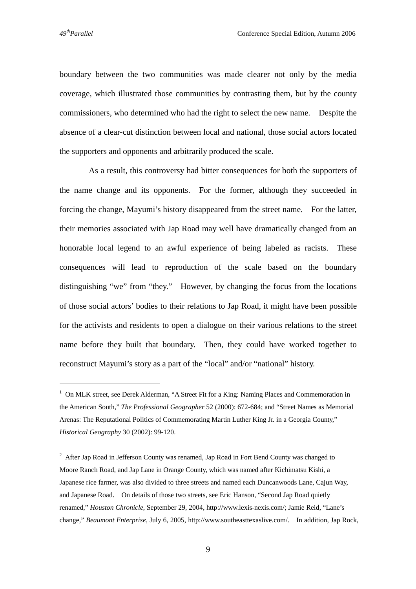$\overline{a}$ 

boundary between the two communities was made clearer not only by the media coverage, which illustrated those communities by contrasting them, but by the county commissioners, who determined who had the right to select the new name. Despite the absence of a clear-cut distinction between local and national, those social actors located the supporters and opponents and arbitrarily produced the scale.

As a result, this controversy had bitter consequences for both the supporters of the name change and its opponents. For the former, although they succeeded in forcing the change, Mayumi's history disappeared from the street name. For the latter, their memories associated with Jap Road may well have dramatically changed from an honorable local legend to an awful experience of being labeled as racists. These consequences will lead to reproduction of the scale based on the boundary distinguishing "we" from "they." However, by changing the focus from the locations of those social actors' bodies to their relations to Jap Road, it might have been possible for the activists and residents to open a dialogue on their various relations to the street name before they built that boundary. Then, they could have worked together to reconstruct Mayumi's story as a part of the "local" and/or "national" history.

<sup>&</sup>lt;sup>1</sup> On MLK street, see Derek Alderman, "A Street Fit for a King: Naming Places and Commemoration in the American South," *The Professional Geographer* 52 (2000): 672-684; and "Street Names as Memorial Arenas: The Reputational Politics of Commemorating Martin Luther King Jr. in a Georgia County," *Historical Geography* 30 (2002): 99-120.

 $2$  After Jap Road in Jefferson County was renamed, Jap Road in Fort Bend County was changed to Moore Ranch Road, and Jap Lane in Orange County, which was named after Kichimatsu Kishi, a Japanese rice farmer, was also divided to three streets and named each Duncanwoods Lane, Cajun Way, and Japanese Road. On details of those two streets, see Eric Hanson, "Second Jap Road quietly renamed," *Houston Chronicle*, September 29, 2004, http://www.lexis-nexis.com/; Jamie Reid, "Lane's change," *Beaumont Enterprise,* July 6, 2005, http://www.southeasttexaslive.com/. In addition, Jap Rock,